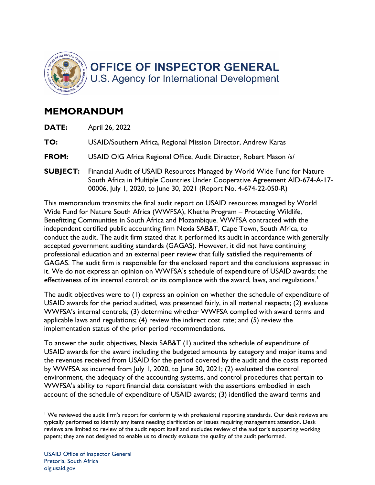

## **MEMORANDUM**

**DATE:** April 26, 2022

**TO:** USAID/Southern Africa, Regional Mission Director, Andrew Karas

- **FROM:** USAID OIG Africa Regional Office, Audit Director, Robert Mason /s/
- **SUBJECT:** Financial Audit of USAID Resources Managed by World Wide Fund for Nature 00006, July 1, 2020, to June 30, 2021 (Report No. 4-674-22-050-R) South Africa in Multiple Countries Under Cooperative Agreement AID-674-A-17-

 Benefitting Communities in South Africa and Mozambique. WWFSA contracted with the This memorandum transmits the final audit report on USAID resources managed by World Wide Fund for Nature South Africa (WWFSA), Khetha Program – Protecting Wildlife, independent certified public accounting firm Nexia SAB&T, Cape Town, South Africa, to conduct the audit. The audit firm stated that it performed its audit in accordance with generally accepted government auditing standards (GAGAS). However, it did not have continuing professional education and an external peer review that fully satisfied the requirements of GAGAS. The audit firm is responsible for the enclosed report and the conclusions expressed in it. We do not express an opinion on WWFSA's schedule of expenditure of USAID awards; the effectiveness of its internal control; or its compliance with the award, laws, and regulations.<sup>1</sup>

The audit objectives were to (1) express an opinion on whether the schedule of expenditure of USAID awards for the period audited, was presented fairly, in all material respects; (2) evaluate WWFSA's internal controls; (3) determine whether WWFSA complied with award terms and applicable laws and regulations; (4) review the indirect cost rate; and (5) review the implementation status of the prior period recommendations.

 USAID awards for the award including the budgeted amounts by category and major items and by WWFSA as incurred from July 1, 2020, to June 30, 2021; (2) evaluated the control environment, the adequacy of the accounting systems, and control procedures that pertain to To answer the audit objectives, Nexia SAB&T (1) audited the schedule of expenditure of the revenues received from USAID for the period covered by the audit and the costs reported WWFSA's ability to report financial data consistent with the assertions embodied in each account of the schedule of expenditure of USAID awards; (3) identified the award terms and

 $1$  We reviewed the audit firm's report for conformity with professional reporting standards. Our desk reviews are typically performed to identify any items needing clarification or issues requiring management attention. Desk reviews are limited to review of the audit report itself and excludes review of the auditor's supporting working papers; they are not designed to enable us to directly evaluate the quality of the audit performed.